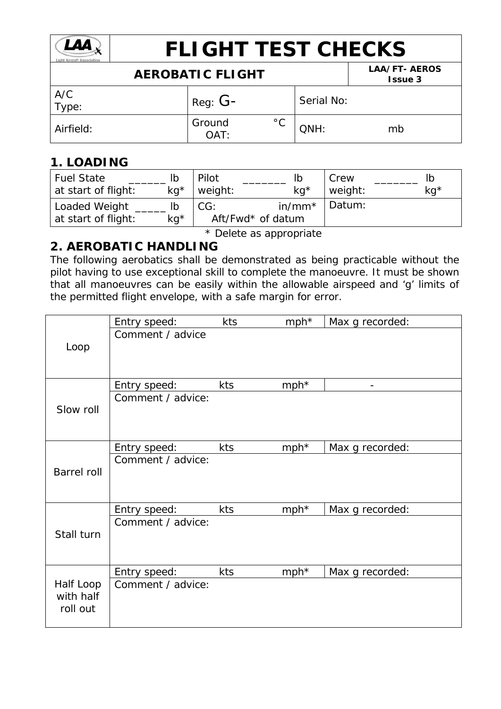

# **FLIGHT TEST CHECKS**

## **AEROBATIC FLIGHT LAA/FT- AEROS**

| ALIVODATIV I LIVITI |                |              |            | <b>Issue 3</b> |
|---------------------|----------------|--------------|------------|----------------|
| A/C<br>Type:        | Reg: $G-$      |              | Serial No: |                |
| Airfield:           | Ground<br>OAT: | $^{\circ}$ C | QNH:       | mb             |

### **1. LOADING**

| <b>Fuel State</b><br>at start of flight: | lb<br>$kq^*$ | Pilot<br>weight:         | $kq^*$    | Crew<br>weight: | kg <sup>*</sup> |
|------------------------------------------|--------------|--------------------------|-----------|-----------------|-----------------|
| Loaded Weight<br>at start of flight:     | $kg*$        | CG:<br>Aft/Fwd* of datum | $in/mm^*$ | Datum:          |                 |

\* Delete as appropriate

#### **2. AEROBATIC HANDLING**

The following aerobatics shall be demonstrated as being practicable without the pilot having to use exceptional skill to complete the manoeuvre. It must be shown that all manoeuvres can be easily within the allowable airspeed and 'g' limits of the permitted flight envelope, with a safe margin for error.

| Entry speed:      | kts                          | $mph*$     | Max g recorded:            |
|-------------------|------------------------------|------------|----------------------------|
| Comment / advice  |                              |            |                            |
|                   |                              |            |                            |
|                   |                              |            |                            |
|                   |                              |            |                            |
| Comment / advice: |                              |            |                            |
|                   |                              |            |                            |
|                   |                              |            |                            |
|                   |                              |            | Max g recorded:            |
| Comment / advice: |                              |            |                            |
|                   |                              |            |                            |
|                   |                              |            |                            |
| Entry speed:      | kts                          | $mph*$     | Max g recorded:            |
| Comment / advice: |                              |            |                            |
|                   |                              |            |                            |
|                   |                              |            |                            |
| Entry speed:      | kts                          | $mph*$     | Max g recorded:            |
| Comment / advice: |                              |            |                            |
|                   |                              |            |                            |
|                   |                              |            |                            |
|                   | Entry speed:<br>Entry speed: | kts<br>kts | mph <sup>*</sup><br>$mph*$ |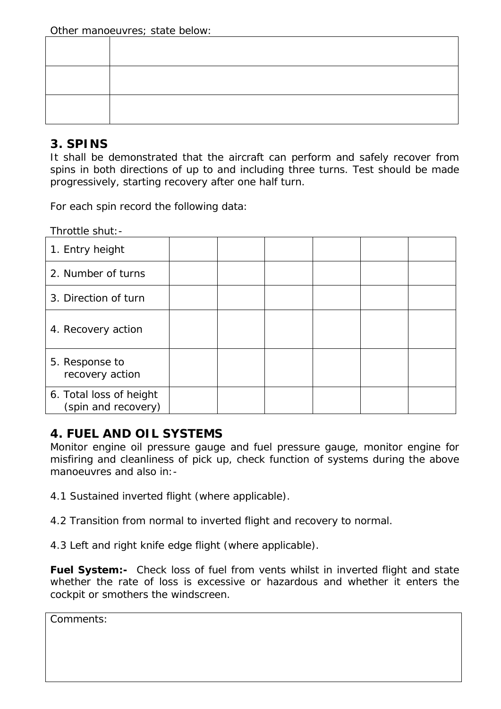#### **3. SPINS**

It shall be demonstrated that the aircraft can perform and safely recover from spins in *both* directions of up to *and including* three turns. Test should be made progressively, starting recovery after one half turn.

For each spin record the following data:

Throttle shut:-

| 1. Entry height                                |  |  |  |
|------------------------------------------------|--|--|--|
| 2. Number of turns                             |  |  |  |
| 3. Direction of turn                           |  |  |  |
| 4. Recovery action                             |  |  |  |
| 5. Response to<br>recovery action              |  |  |  |
| 6. Total loss of height<br>(spin and recovery) |  |  |  |

#### **4. FUEL AND OIL SYSTEMS**

Monitor engine oil pressure gauge and fuel pressure gauge, monitor engine for misfiring and cleanliness of pick up, check function of systems during the above manoeuvres and also in:-

4.1 Sustained inverted flight (where applicable).

4.2 Transition from normal to inverted flight and recovery to normal.

4.3 Left and right knife edge flight (where applicable).

**Fuel System:-** Check loss of fuel from vents whilst in inverted flight and state whether the rate of loss is excessive or hazardous and whether it enters the cockpit or smothers the windscreen.

Comments: